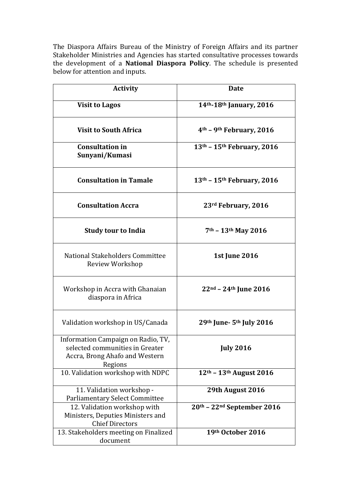The Diaspora Affairs Bureau of the Ministry of Foreign Affairs and its partner Stakeholder Ministries and Agencies has started consultative processes towards the development of a National Diaspora Policy. The schedule is presented below for attention and inputs.

| <b>Activity</b>                                                                                                    | <b>Date</b>                                      |
|--------------------------------------------------------------------------------------------------------------------|--------------------------------------------------|
| <b>Visit to Lagos</b>                                                                                              | 14 <sup>th</sup> -18 <sup>th</sup> January, 2016 |
| <b>Visit to South Africa</b>                                                                                       | 4 <sup>th</sup> – 9 <sup>th</sup> February, 2016 |
| <b>Consultation in</b><br>Sunyani/Kumasi                                                                           | 13th - 15th February, 2016                       |
| <b>Consultation in Tamale</b>                                                                                      | $13th - 15th$ February, 2016                     |
| <b>Consultation Accra</b>                                                                                          | 23rd February, 2016                              |
| <b>Study tour to India</b>                                                                                         | $7th - 13th$ May 2016                            |
| National Stakeholders Committee<br>Review Workshop                                                                 | <b>1st June 2016</b>                             |
| Workshop in Accra with Ghanaian<br>diaspora in Africa                                                              | $22nd - 24th$ June 2016                          |
| Validation workshop in US/Canada                                                                                   | 29th June- 5th July 2016                         |
| Information Campaign on Radio, TV,<br>selected communities in Greater<br>Accra, Brong Ahafo and Western<br>Regions | <b>July 2016</b>                                 |
| 10. Validation workshop with NDPC                                                                                  | 12th - 13th August 2016                          |
| 11. Validation workshop -<br><b>Parliamentary Select Committee</b>                                                 | 29th August 2016                                 |
| 12. Validation workshop with<br>Ministers, Deputies Ministers and<br><b>Chief Directors</b>                        | 20th - 22nd September 2016                       |
| 13. Stakeholders meeting on Finalized<br>document                                                                  | 19th October 2016                                |